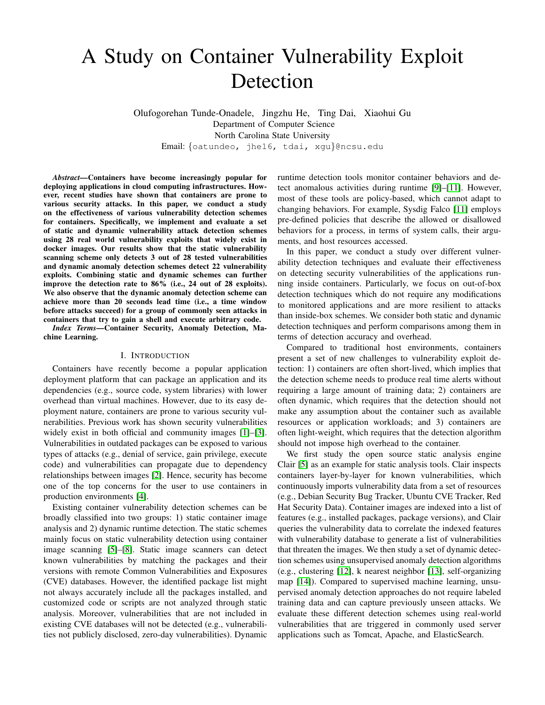# A Study on Container Vulnerability Exploit Detection

Olufogorehan Tunde-Onadele, Jingzhu He, Ting Dai, Xiaohui Gu Department of Computer Science North Carolina State University Email: {oatundeo, jhe16, tdai, xgu}@ncsu.edu

*Abstract***—Containers have become increasingly popular for deploying applications in cloud computing infrastructures. However, recent studies have shown that containers are prone to various security attacks. In this paper, we conduct a study on the effectiveness of various vulnerability detection schemes for containers. Specifically, we implement and evaluate a set of static and dynamic vulnerability attack detection schemes using 28 real world vulnerability exploits that widely exist in docker images. Our results show that the static vulnerability scanning scheme only detects 3 out of 28 tested vulnerabilities and dynamic anomaly detection schemes detect 22 vulnerability exploits. Combining static and dynamic schemes can further improve the detection rate to 86% (i.e., 24 out of 28 exploits). We also observe that the dynamic anomaly detection scheme can achieve more than 20 seconds lead time (i.e., a time window before attacks succeed) for a group of commonly seen attacks in containers that try to gain a shell and execute arbitrary code.**

*Index Terms***—Container Security, Anomaly Detection, Machine Learning.**

#### I. INTRODUCTION

Containers have recently become a popular application deployment platform that can package an application and its dependencies (e.g., source code, system libraries) with lower overhead than virtual machines. However, due to its easy deployment nature, containers are prone to various security vulnerabilities. Previous work has shown security vulnerabilities widely exist in both official and community images [\[1\]](#page-5-0)–[\[3\]](#page-5-1). Vulnerabilities in outdated packages can be exposed to various types of attacks (e.g., denial of service, gain privilege, execute code) and vulnerabilities can propagate due to dependency relationships between images [\[2\]](#page-5-2). Hence, security has become one of the top concerns for the user to use containers in production environments [\[4\]](#page-5-3).

Existing container vulnerability detection schemes can be broadly classified into two groups: 1) static container image analysis and 2) dynamic runtime detection. The static schemes mainly focus on static vulnerability detection using container image scanning [\[5\]](#page-5-4)–[\[8\]](#page-5-5). Static image scanners can detect known vulnerabilities by matching the packages and their versions with remote Common Vulnerabilities and Exposures (CVE) databases. However, the identified package list might not always accurately include all the packages installed, and customized code or scripts are not analyzed through static analysis. Moreover, vulnerabilities that are not included in existing CVE databases will not be detected (e.g., vulnerabilities not publicly disclosed, zero-day vulnerabilities). Dynamic runtime detection tools monitor container behaviors and detect anomalous activities during runtime [\[9\]](#page-5-6)–[\[11\]](#page-5-7). However, most of these tools are policy-based, which cannot adapt to changing behaviors. For example, Sysdig Falco [\[11\]](#page-5-7) employs pre-defined policies that describe the allowed or disallowed behaviors for a process, in terms of system calls, their arguments, and host resources accessed.

In this paper, we conduct a study over different vulnerability detection techniques and evaluate their effectiveness on detecting security vulnerabilities of the applications running inside containers. Particularly, we focus on out-of-box detection techniques which do not require any modifications to monitored applications and are more resilient to attacks than inside-box schemes. We consider both static and dynamic detection techniques and perform comparisons among them in terms of detection accuracy and overhead.

Compared to traditional host environments, containers present a set of new challenges to vulnerability exploit detection: 1) containers are often short-lived, which implies that the detection scheme needs to produce real time alerts without requiring a large amount of training data; 2) containers are often dynamic, which requires that the detection should not make any assumption about the container such as available resources or application workloads; and 3) containers are often light-weight, which requires that the detection algorithm should not impose high overhead to the container.

We first study the open source static analysis engine Clair [\[5\]](#page-5-4) as an example for static analysis tools. Clair inspects containers layer-by-layer for known vulnerabilities, which continuously imports vulnerability data from a set of resources (e.g., Debian Security Bug Tracker, Ubuntu CVE Tracker, Red Hat Security Data). Container images are indexed into a list of features (e.g., installed packages, package versions), and Clair queries the vulnerability data to correlate the indexed features with vulnerability database to generate a list of vulnerabilities that threaten the images. We then study a set of dynamic detection schemes using unsupervised anomaly detection algorithms (e.g., clustering [\[12\]](#page-5-8), k nearest neighbor [\[13\]](#page-5-9), self-organizing map [\[14\]](#page-5-10)). Compared to supervised machine learning, unsupervised anomaly detection approaches do not require labeled training data and can capture previously unseen attacks. We evaluate these different detection schemes using real-world vulnerabilities that are triggered in commonly used server applications such as Tomcat, Apache, and ElasticSearch.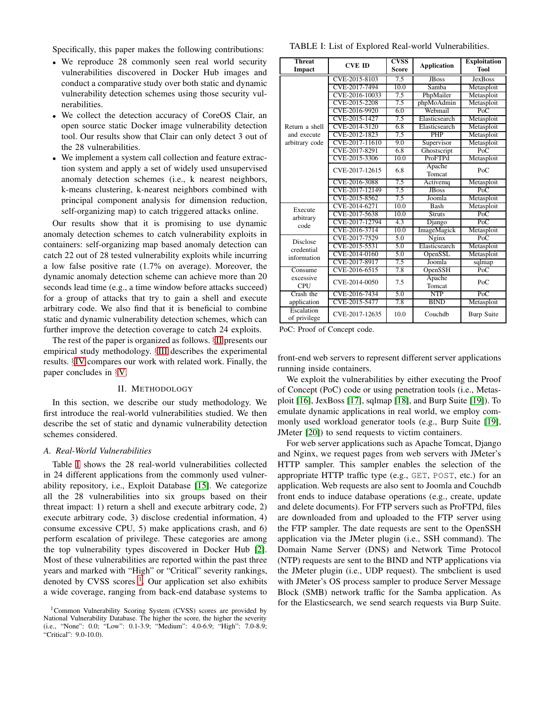Specifically, this paper makes the following contributions:

- We reproduce 28 commonly seen real world security vulnerabilities discovered in Docker Hub images and conduct a comparative study over both static and dynamic vulnerability detection schemes using those security vulnerabilities.
- We collect the detection accuracy of CoreOS Clair, an open source static Docker image vulnerability detection tool. Our results show that Clair can only detect 3 out of the 28 vulnerabilities.
- We implement a system call collection and feature extraction system and apply a set of widely used unsupervised anomaly detection schemes (i.e., k nearest neighbors, k-means clustering, k-nearest neighbors combined with principal component analysis for dimension reduction, self-organizing map) to catch triggered attacks online.

Our results show that it is promising to use dynamic anomaly detection schemes to catch vulnerability exploits in containers: self-organizing map based anomaly detection can catch 22 out of 28 tested vulnerability exploits while incurring a low false positive rate (1.7% on average). Moreover, the dynamic anomaly detection scheme can achieve more than 20 seconds lead time (e.g., a time window before attacks succeed) for a group of attacks that try to gain a shell and execute arbitrary code. We also find that it is beneficial to combine static and dynamic vulnerability detection schemes, which can further improve the detection coverage to catch 24 exploits.

The rest of the paper is organized as follows. §[II](#page-1-0) presents our empirical study methodology. §[III](#page-3-0) describes the experimental results. §[IV](#page-4-0) compares our work with related work. Finally, the paper concludes in §[V.](#page-5-11)

#### II. METHODOLOGY

<span id="page-1-0"></span>In this section, we describe our study methodology. We first introduce the real-world vulnerabilities studied. We then describe the set of static and dynamic vulnerability detection schemes considered.

#### *A. Real-World Vulnerabilities*

Table [I](#page-1-1) shows the 28 real-world vulnerabilities collected in 24 different applications from the commonly used vulnerability repository, i.e., Exploit Database [\[15\]](#page-5-12). We categorize all the 28 vulnerabilities into six groups based on their threat impact: 1) return a shell and execute arbitrary code, 2) execute arbitrary code, 3) disclose credential information, 4) consume excessive CPU, 5) make applications crash, and 6) perform escalation of privilege. These categories are among the top vulnerability types discovered in Docker Hub [\[2\]](#page-5-2). Most of these vulnerabilities are reported within the past three years and marked with "High" or "Critical" severity rankings, denoted by CVSS scores <sup>[1](#page-1-2)</sup>. Our application set also exhibits a wide coverage, ranging from back-end database systems to

<span id="page-1-1"></span>TABLE I: List of Explored Real-world Vulnerabilities.

| <b>Threat</b><br>Impact    | <b>CVE ID</b>  | <b>CVSS</b><br><b>Score</b> | <b>Application</b> | <b>Exploitation</b><br><b>Tool</b> |  |
|----------------------------|----------------|-----------------------------|--------------------|------------------------------------|--|
|                            | CVE-2015-8103  | 7.5                         | <b>IBoss</b>       | <b>Jex Boss</b>                    |  |
|                            | CVE-2017-7494  | 10.0                        | Samba              | Metasploit                         |  |
|                            | CVE-2016-10033 | 7.5                         | PhpMailer          | Metasploit                         |  |
|                            | CVE-2015-2208  | 7.5                         | phpMoAdmin         | Metasploit                         |  |
|                            | CVE-2016-9920  | 6.0                         | Webmail            | PoC                                |  |
|                            | CVE-2015-1427  | 7.5                         | Elasticsearch      | Metasploit                         |  |
| Return a shell             | CVE-2014-3120  | 6.8                         | Elasticsearch      | Metasploit                         |  |
| and execute                | CVE-2012-1823  | 7.5                         | <b>PHP</b>         | Metasploit                         |  |
| arbitrary code             | CVE-2017-11610 | 9.0                         | Supervisor         | Metasploit                         |  |
|                            | CVE-2017-8291  | 6.8                         | Ghostscript        | PoC                                |  |
|                            | CVE-2015-3306  | 10.0                        | ProFTPd            | Metasploit                         |  |
|                            | CVE-2017-12615 | 6.8                         | Apache<br>Tomcat   | PoC                                |  |
|                            | CVE-2016-3088  | 7.5                         | Activemq           | Metasploit                         |  |
|                            | CVE-2017-12149 | 7.5                         | <b>JBoss</b>       | PoC                                |  |
|                            | CVE-2015-8562  | 7.5                         | Joomla             | Metasploit                         |  |
| Execute                    | CVE-2014-6271  | 10.0                        | <b>Bash</b>        | Metasploit                         |  |
| arbitrary                  | CVE-2017-5638  | 10.0                        | <b>Struts</b>      | PoC                                |  |
| code                       | CVE-2017-12794 | 4.3                         | Django             | PoC                                |  |
|                            | CVE-2016-3714  | 10.0                        | ImageMagick        | Metasploit                         |  |
| <b>Disclose</b>            | CVE-2017-7529  | 5.0                         | Nginx              | PoC                                |  |
| credential                 | CVE-2015-5531  | 5.0                         | Elasticsearch      | Metasploit                         |  |
| information                | CVE-2014-0160  | 5.0                         | OpenSSL            | Metasploit                         |  |
|                            | CVE-2017-8917  | 7.5                         | Joomla             | sqlmap                             |  |
| Consume                    | CVE-2016-6515  | 7.8                         | OpenSSH            | PoC                                |  |
| excessive<br><b>CPU</b>    | CVE-2014-0050  | 7.5                         | Apache<br>Tomcat   | PoC                                |  |
| Crash the                  | CVE-2016-7434  | 5.0                         | <b>NTP</b>         | PoC                                |  |
| application                | CVE-2015-5477  | 7.8                         | <b>BIND</b>        | Metasploit                         |  |
| Escalation<br>of privilege | CVE-2017-12635 | 10.0                        | Couchdb            | <b>Burp Suite</b>                  |  |

PoC: Proof of Concept code.

front-end web servers to represent different server applications running inside containers.

We exploit the vulnerabilities by either executing the Proof of Concept (PoC) code or using penetration tools (i.e., Metasploit [\[16\]](#page-6-0), JexBoss [\[17\]](#page-6-1), sqlmap [\[18\]](#page-6-2), and Burp Suite [\[19\]](#page-6-3)). To emulate dynamic applications in real world, we employ commonly used workload generator tools (e.g., Burp Suite [\[19\]](#page-6-3), JMeter [\[20\]](#page-6-4)) to send requests to victim containers.

For web server applications such as Apache Tomcat, Django and Nginx, we request pages from web servers with JMeter's HTTP sampler. This sampler enables the selection of the appropriate HTTP traffic type (e.g., GET, POST, etc.) for an application. Web requests are also sent to Joomla and Couchdb front ends to induce database operations (e.g., create, update and delete documents). For FTP servers such as ProFTPd, files are downloaded from and uploaded to the FTP server using the FTP sampler. The date requests are sent to the OpenSSH application via the JMeter plugin (i.e., SSH command). The Domain Name Server (DNS) and Network Time Protocol (NTP) requests are sent to the BIND and NTP applications via the JMeter plugin (i.e., UDP request). The smbclient is used with JMeter's OS process sampler to produce Server Message Block (SMB) network traffic for the Samba application. As for the Elasticsearch, we send search requests via Burp Suite.

<span id="page-1-2"></span><sup>&</sup>lt;sup>1</sup>Common Vulnerability Scoring System (CVSS) scores are provided by National Vulnerability Database. The higher the score, the higher the severity (i.e., "None": 0.0; "Low": 0.1-3.9; "Medium": 4.0-6.9; "High": 7.0-8.9; "Critical": 9.0-10.0).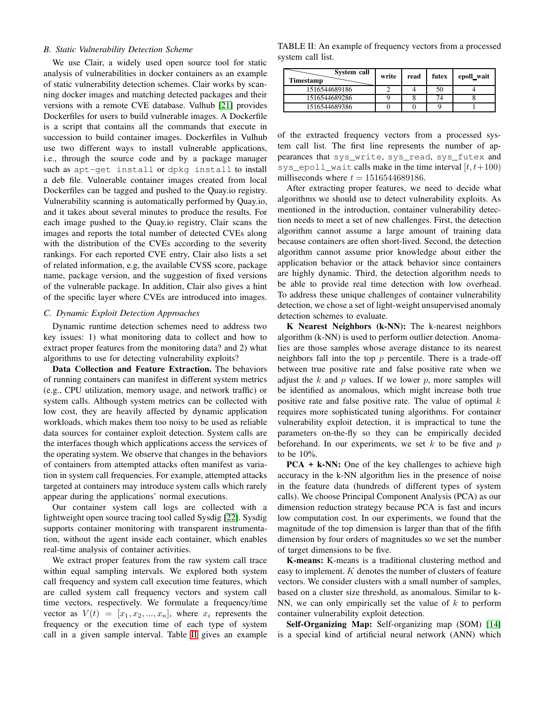## *B. Static Vulnerability Detection Scheme*

We use Clair, a widely used open source tool for static analysis of vulnerabilities in docker containers as an example of static vulnerability detection schemes. Clair works by scanning docker images and matching detected packages and their versions with a remote CVE database. Vulhub [\[21\]](#page-6-5) provides Dockerfiles for users to build vulnerable images. A Dockerfile is a script that contains all the commands that execute in succession to build container images. Dockerfiles in Vulhub use two different ways to install vulnerable applications, i.e., through the source code and by a package manager such as apt-get install or dpkg install to install a deb file. Vulnerable container images created from local Dockerfiles can be tagged and pushed to the Quay.io registry. Vulnerability scanning is automatically performed by Quay.io, and it takes about several minutes to produce the results. For each image pushed to the Quay.io registry, Clair scans the images and reports the total number of detected CVEs along with the distribution of the CVEs according to the severity rankings. For each reported CVE entry, Clair also lists a set of related information, e.g, the available CVSS score, package name, package version, and the suggestion of fixed versions of the vulnerable package. In addition, Clair also gives a hint of the specific layer where CVEs are introduced into images.

## *C. Dynamic Exploit Detection Approaches*

Dynamic runtime detection schemes need to address two key issues: 1) what monitoring data to collect and how to extract proper features from the monitoring data? and 2) what algorithms to use for detecting vulnerability exploits?

**Data Collection and Feature Extraction.** The behaviors of running containers can manifest in different system metrics (e.g., CPU utilization, memory usage, and network traffic) or system calls. Although system metrics can be collected with low cost, they are heavily affected by dynamic application workloads, which makes them too noisy to be used as reliable data sources for container exploit detection. System calls are the interfaces though which applications access the services of the operating system. We observe that changes in the behaviors of containers from attempted attacks often manifest as variation in system call frequencies. For example, attempted attacks targeted at containers may introduce system calls which rarely appear during the applications' normal executions.

Our container system call logs are collected with a lightweight open source tracing tool called Sysdig [\[22\]](#page-6-6). Sysdig supports container monitoring with transparent instrumentation, without the agent inside each container, which enables real-time analysis of container activities.

We extract proper features from the raw system call trace within equal sampling intervals. We explored both system call frequency and system call execution time features, which are called system call frequency vectors and system call time vectors, respectively. We formulate a frequency/time vector as  $V(t) = [x_1, x_2, ..., x_n]$ , where  $x_i$  represents the frequency or the execution time of each type of system call in a given sample interval. Table [II](#page-2-0) gives an example

<span id="page-2-0"></span>TABLE II: An example of frequency vectors from a processed system call list.

| System call<br>Timestamp | write | read | futex | epoll_wait |
|--------------------------|-------|------|-------|------------|
| 1516544689186            |       |      | 50    |            |
| 1516544689286            |       |      |       |            |
| 1516544689386            |       |      |       |            |

of the extracted frequency vectors from a processed system call list. The first line represents the number of appearances that sys\_write, sys\_read, sys\_futex and sys\_epoll\_wait calls make in the time interval  $[t, t+100)$ milliseconds where  $t = 1516544689186$ .

After extracting proper features, we need to decide what algorithms we should use to detect vulnerability exploits. As mentioned in the introduction, container vulnerability detection needs to meet a set of new challenges. First, the detection algorithm cannot assume a large amount of training data because containers are often short-lived. Second, the detection algorithm cannot assume prior knowledge about either the application behavior or the attack behavior since containers are highly dynamic. Third, the detection algorithm needs to be able to provide real time detection with low overhead. To address these unique challenges of container vulnerability detection, we chose a set of light-weight unsupervised anomaly detection schemes to evaluate.

**K Nearest Neighbors (k-NN):** The k-nearest neighbors algorithm (k-NN) is used to perform outlier detection. Anomalies are those samples whose average distance to its nearest neighbors fall into the top  $p$  percentile. There is a trade-off between true positive rate and false positive rate when we adjust the  $k$  and  $p$  values. If we lower  $p$ , more samples will be identified as anomalous, which might increase both true positive rate and false positive rate. The value of optimal  $k$ requires more sophisticated tuning algorithms. For container vulnerability exploit detection, it is impractical to tune the parameters on-the-fly so they can be empirically decided beforehand. In our experiments, we set  $k$  to be five and  $p$ to be 10%.

**PCA + k-NN:** One of the key challenges to achieve high accuracy in the k-NN algorithm lies in the presence of noise in the feature data (hundreds of different types of system calls). We choose Principal Component Analysis (PCA) as our dimension reduction strategy because PCA is fast and incurs low computation cost. In our experiments, we found that the magnitude of the top dimension is larger than that of the fifth dimension by four orders of magnitudes so we set the number of target dimensions to be five.

**K-means:** K-means is a traditional clustering method and easy to implement. K denotes the number of clusters of feature vectors. We consider clusters with a small number of samples, based on a cluster size threshold, as anomalous. Similar to k-NN, we can only empirically set the value of  $k$  to perform container vulnerability exploit detection.

**Self-Organizing Map:** Self-organizing map (SOM) [\[14\]](#page-5-10) is a special kind of artificial neural network (ANN) which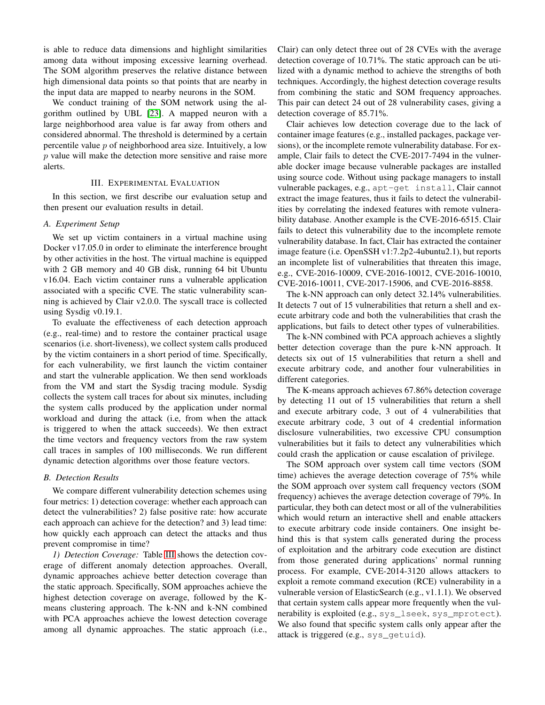is able to reduce data dimensions and highlight similarities among data without imposing excessive learning overhead. The SOM algorithm preserves the relative distance between high dimensional data points so that points that are nearby in the input data are mapped to nearby neurons in the SOM.

We conduct training of the SOM network using the algorithm outlined by UBL [\[23\]](#page-6-7). A mapped neuron with a large neighborhood area value is far away from others and considered abnormal. The threshold is determined by a certain percentile value  $p$  of neighborhood area size. Intuitively, a low  $p$  value will make the detection more sensitive and raise more alerts.

## III. EXPERIMENTAL EVALUATION

<span id="page-3-0"></span>In this section, we first describe our evaluation setup and then present our evaluation results in detail.

## *A. Experiment Setup*

We set up victim containers in a virtual machine using Docker v17.05.0 in order to eliminate the interference brought by other activities in the host. The virtual machine is equipped with 2 GB memory and 40 GB disk, running 64 bit Ubuntu v16.04. Each victim container runs a vulnerable application associated with a specific CVE. The static vulnerability scanning is achieved by Clair v2.0.0. The syscall trace is collected using Sysdig v0.19.1.

To evaluate the effectiveness of each detection approach (e.g., real-time) and to restore the container practical usage scenarios (i.e. short-liveness), we collect system calls produced by the victim containers in a short period of time. Specifically, for each vulnerability, we first launch the victim container and start the vulnerable application. We then send workloads from the VM and start the Sysdig tracing module. Sysdig collects the system call traces for about six minutes, including the system calls produced by the application under normal workload and during the attack (i.e, from when the attack is triggered to when the attack succeeds). We then extract the time vectors and frequency vectors from the raw system call traces in samples of 100 milliseconds. We run different dynamic detection algorithms over those feature vectors.

## *B. Detection Results*

We compare different vulnerability detection schemes using four metrics: 1) detection coverage: whether each approach can detect the vulnerabilities? 2) false positive rate: how accurate each approach can achieve for the detection? and 3) lead time: how quickly each approach can detect the attacks and thus prevent compromise in time?

*1) Detection Coverage:* Table [III](#page-4-1) shows the detection coverage of different anomaly detection approaches. Overall, dynamic approaches achieve better detection coverage than the static approach. Specifically, SOM approaches achieve the highest detection coverage on average, followed by the Kmeans clustering approach. The k-NN and k-NN combined with PCA approaches achieve the lowest detection coverage among all dynamic approaches. The static approach (i.e.,

Clair) can only detect three out of 28 CVEs with the average detection coverage of 10.71%. The static approach can be utilized with a dynamic method to achieve the strengths of both techniques. Accordingly, the highest detection coverage results from combining the static and SOM frequency approaches. This pair can detect 24 out of 28 vulnerability cases, giving a detection coverage of 85.71%.

Clair achieves low detection coverage due to the lack of container image features (e.g., installed packages, package versions), or the incomplete remote vulnerability database. For example, Clair fails to detect the CVE-2017-7494 in the vulnerable docker image because vulnerable packages are installed using source code. Without using package managers to install vulnerable packages, e.g., apt-get install, Clair cannot extract the image features, thus it fails to detect the vulnerabilities by correlating the indexed features with remote vulnerability database. Another example is the CVE-2016-6515. Clair fails to detect this vulnerability due to the incomplete remote vulnerability database. In fact, Clair has extracted the container image feature (i.e. OpenSSH v1:7.2p2-4ubuntu2.1), but reports an incomplete list of vulnerabilities that threaten this image, e.g., CVE-2016-10009, CVE-2016-10012, CVE-2016-10010, CVE-2016-10011, CVE-2017-15906, and CVE-2016-8858.

The k-NN approach can only detect 32.14% vulnerabilities. It detects 7 out of 15 vulnerabilities that return a shell and execute arbitrary code and both the vulnerabilities that crash the applications, but fails to detect other types of vulnerabilities.

The k-NN combined with PCA approach achieves a slightly better detection coverage than the pure k-NN approach. It detects six out of 15 vulnerabilities that return a shell and execute arbitrary code, and another four vulnerabilities in different categories.

The K-means approach achieves 67.86% detection coverage by detecting 11 out of 15 vulnerabilities that return a shell and execute arbitrary code, 3 out of 4 vulnerabilities that execute arbitrary code, 3 out of 4 credential information disclosure vulnerabilities, two excessive CPU consumption vulnerabilities but it fails to detect any vulnerabilities which could crash the application or cause escalation of privilege.

The SOM approach over system call time vectors (SOM time) achieves the average detection coverage of 75% while the SOM approach over system call frequency vectors (SOM frequency) achieves the average detection coverage of 79%. In particular, they both can detect most or all of the vulnerabilities which would return an interactive shell and enable attackers to execute arbitrary code inside containers. One insight behind this is that system calls generated during the process of exploitation and the arbitrary code execution are distinct from those generated during applications' normal running process. For example, CVE-2014-3120 allows attackers to exploit a remote command execution (RCE) vulnerability in a vulnerable version of ElasticSearch (e.g., v1.1.1). We observed that certain system calls appear more frequently when the vulnerability is exploited (e.g., sys\_lseek, sys\_mprotect). We also found that specific system calls only appear after the attack is triggered (e.g., sys\_getuid).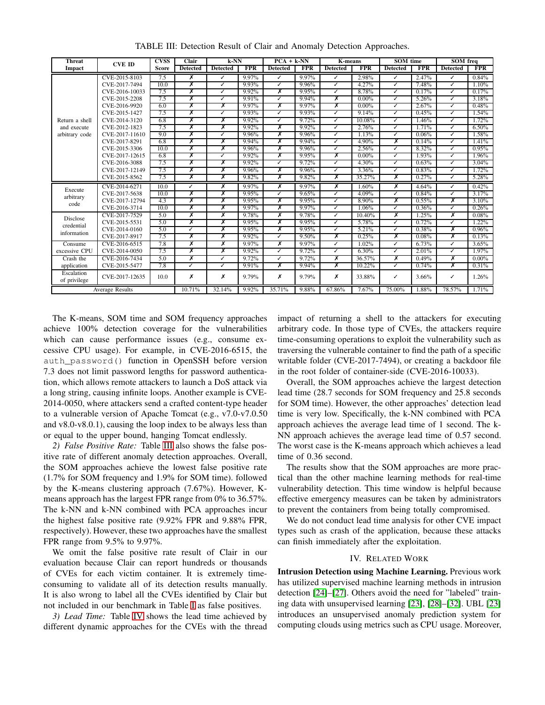<span id="page-4-1"></span>

| <b>Threat</b>              | <b>CVE ID</b>          | <b>CVSS</b>  | Clair           | $k$ -NN                  | $\overline{PCA + k NN}$ |                 | <b>K-means</b> |                 | <b>SOM</b> time |                 | <b>SOM</b> freq |                          |            |
|----------------------------|------------------------|--------------|-----------------|--------------------------|-------------------------|-----------------|----------------|-----------------|-----------------|-----------------|-----------------|--------------------------|------------|
| Impact                     |                        | <b>Score</b> | <b>Detected</b> | <b>Detected</b>          | <b>FPR</b>              | <b>Detected</b> | <b>FPR</b>     | <b>Detected</b> | <b>FPR</b>      | <b>Detected</b> | <b>FPR</b>      | <b>Detected</b>          | <b>FPR</b> |
|                            | CVE-2015-8103          | 7.5          | $\bar{x}$       | ✓                        | 9.97%                   | ✓               | 9.97%          | ✓               | 2.98%           | ✓               | 2.47%           | ✓                        | 0.84%      |
|                            | CVE-2017-7494          | 10.0         | Х               | ✓                        | 9.93%                   | ✓               | 9.96%          | ✓               | 4.27%           | J               | 7.48%           | ℐ                        | 1.10%      |
|                            | CVE-2016-10033         | 7.5          | X               | ৴                        | 9.92%                   | x               | 9.95%          | ✓               | 8.78%           | ✓               | 0.17%           | ℐ                        | 0.17%      |
|                            | CVE-2015-2208          | 7.5          | Х               | $\overline{\mathcal{L}}$ | 9.91%                   | ✓               | 9.94%          | Х               | $0.00\%$        | ✓               | 5.26%           | ✓                        | 3.18%      |
|                            | CVE-2016-9920          | 6.0          | Х               | Х                        | 9.97%                   | Х               | 9.97%          | Х               | $0.00\%$        | ✓               | 2.67%           | J                        | 0.48%      |
|                            | CVE-2015-1427          | 7.5          | X               | ✓                        | 9.93%                   | ✓               | 9.93%          | ✓               | 9.14%           | ✓               | 0.45%           | ✓                        | 1.54%      |
| Return a shell             | CVE-2014-3120          | 6.8          | Х               | Х                        | 9.92%                   | J               | 9.72%          | J               | 10.08%          | J               | 1.46%           | J                        | 1.72%      |
| and execute                | CVE-2012-1823          | 7.5          | X               | х                        | 9.92%                   | x               | 9.92%          | ✓               | 2.76%           | ✓               | 1.71%           | ✓                        | 6.50%      |
| arbitrary code             | CVE-2017-11610         | 9.0          | X               | ℐ                        | 9.96%                   | X               | 9.96%          | ✓               | 1.13%           | ✓               | 0.06%           | ✓                        | 1.58%      |
|                            | CVE-2017-8291          | 6.8          | Х               | х                        | 9.94%                   | Х               | 9.94%          | J               | 4.90%           | χ               | 0.14%           | ✓                        | 1.41%      |
|                            | CVE-2015-3306          | 10.0         | X               | х                        | 9.96%                   | х               | 9.96%          | ✓               | 2.56%           | ✓               | 8.32%           | ℐ                        | 0.95%      |
|                            | CVE-2017-12615         | 6.8          | X               | ৴                        | 9.92%                   | х               | 9.95%          | х               | $0.00\%$        | ✓               | 1.93%           | ℐ                        | 1.96%      |
|                            | CVE-2016-3088          | 7.5          | Х               | Х                        | 9.92%                   | ✓               | 9.72%          | ✓               | 4.30%           | J               | 0.63%           | ℐ                        | $3.04\%$   |
|                            | CVE-2017-12149         | 7.5          | Х               | Х                        | 9.96%                   | Х               | 9.96%          | ✓               | 3.36%           | ✓               | 0.83%           | ℐ                        | 1.72%      |
|                            | CVE-2015-8562          | 7.5          | X               | х                        | 9.82%                   | X               | 9.82%          | X               | 35.27%          | Х               | 0.27%           | ✓                        | 5.28%      |
| Execute                    | CVE-2014-6271          | 10.0         | J               | Х                        | 9.97%                   | Х               | 9.97%          | x               | 1.60%           | Х               | 4.64%           | $\overline{\mathcal{L}}$ | 0.42%      |
| arbitrary                  | CVE-2017-5638          | 10.0         | X               | х                        | 9.95%                   | ℐ               | 9.65%          | ✓               | 4.09%           | ✓               | 0.84%           | ℐ                        | 3.17%      |
| code                       | CVE-2017-12794         | 4.3          | Х               | х                        | 9.95%                   | Х               | 9.95%          | ✓               | 8.90%           | Х               | $0.55\%$        | Х                        | 3.10%      |
|                            | CVE-2016-3714          | 10.0         | х               | х                        | 9.97%                   | Х               | 9.97%          | ✓               | 1.06%           | ✓               | 0.36%           | ✓                        | 0.26%      |
| Disclose                   | CVE-2017-7529          | 5.0          | x               | x                        | 9.78%                   | Х               | 9.78%          | ✓               | 10.40%          | Х               | 1.25%           | Х                        | 0.08%      |
| credential                 | CVE-2015-5531          | 5.0          | Х               | Х                        | 9.95%                   | X               | 9.95%          | J               | 5.78%           | J               | 0.72%           | ℐ                        | 1.22%      |
| information                | CVE-2014-0160          | 5.0          | ✓               | х                        | 9.95%                   | х               | 9.95%          | ✓               | 5.21%           | ✓               | 0.38%           | х                        | 0.96%      |
|                            | CVE-2017-8917          | 7.5          | х               | Х                        | 9.92%                   | ℐ               | 9.50%          | х               | 0.25%           | Х               | 0.08%           | Х                        | 0.13%      |
| Comsum                     | CVE-2016-6515          | 7.8          | х               | х                        | 9.97%                   | х               | 9.97%          | ✓               | $1.02\%$        | ✓               | 6.73%           | ℐ                        | 3.65%      |
| excessive CPU              | CVE-2014-0050          | 7.5          | X               | Х                        | 9.92%                   | ✓               | 9.72%          | ✓               | $6.30\%$        | ✓               | 2.01%           | ✓                        | 1.97%      |
| Crash the                  | CVE-2016-7434          | 5.0          | x               | ৴                        | 9.72%                   | ✓               | 9.72%          | x               | 36.57%          | Х               | 0.49%           | х                        | $0.00\%$   |
| application                | CVE-2015-5477          | 7.8          | ✓               | ৴                        | 9.91%                   | X               | 9.94%          | x               | 10.22%          | J               | 0.74%           | X                        | 0.31%      |
| Escalation<br>of privilege | CVE-2017-12635         | 10.0         | х               | Х                        | 9.79%                   | x               | 9.79%          | х               | 33.88%          | ✓               | 3.66%           | ✓                        | 1.26%      |
|                            | <b>Average Results</b> |              | 10.71%          | 32.14%                   | 9.92%                   | 35.71%          | 9.88%          | 67.86%          | 7.67%           | 75.00%          | 1.88%           | 78.57%                   | 1.71%      |

TABLE III: Detection Result of Clair and Anomaly Detection Approaches.

The K-means, SOM time and SOM frequency approaches achieve 100% detection coverage for the vulnerabilities which can cause performance issues (e.g., consume excessive CPU usage). For example, in CVE-2016-6515, the auth\_password() function in OpenSSH before version 7.3 does not limit password lengths for password authentication, which allows remote attackers to launch a DoS attack via a long string, causing infinite loops. Another example is CVE-2014-0050, where attackers send a crafted content-type header to a vulnerable version of Apache Tomcat (e.g., v7.0-v7.0.50 and v8.0-v8.0.1), causing the loop index to be always less than or equal to the upper bound, hanging Tomcat endlessly.

*2) False Positive Rate:* Table [III](#page-4-1) also shows the false positive rate of different anomaly detection approaches. Overall, the SOM approaches achieve the lowest false positive rate (1.7% for SOM frequency and 1.9% for SOM time). followed by the K-means clustering approach (7.67%). However, Kmeans approach has the largest FPR range from 0% to 36.57%. The k-NN and k-NN combined with PCA approaches incur the highest false positive rate (9.92% FPR and 9.88% FPR, respectively). However, these two approaches have the smallest FPR range from 9.5% to 9.97%.

We omit the false positive rate result of Clair in our evaluation because Clair can report hundreds or thousands of CVEs for each victim container. It is extremely timeconsuming to validate all of its detection results manually. It is also wrong to label all the CVEs identified by Clair but not included in our benchmark in Table [I](#page-1-1) as false positives.

*3) Lead Time:* Table [IV](#page-5-13) shows the lead time achieved by different dynamic approaches for the CVEs with the thread impact of returning a shell to the attackers for executing arbitrary code. In those type of CVEs, the attackers require time-consuming operations to exploit the vulnerability such as traversing the vulnerable container to find the path of a specific writable folder (CVE-2017-7494), or creating a backdoor file in the root folder of container-side (CVE-2016-10033).

Overall, the SOM approaches achieve the largest detection lead time (28.7 seconds for SOM frequency and 25.8 seconds for SOM time). However, the other approaches' detection lead time is very low. Specifically, the k-NN combined with PCA approach achieves the average lead time of 1 second. The k-NN approach achieves the average lead time of 0.57 second. The worst case is the K-means approach which achieves a lead time of 0.36 second.

The results show that the SOM approaches are more practical than the other machine learning methods for real-time vulnerability detection. This time window is helpful because effective emergency measures can be taken by administrators to prevent the containers from being totally compromised.

We do not conduct lead time analysis for other CVE impact types such as crash of the application, because these attacks can finish immediately after the exploitation.

### IV. RELATED WORK

<span id="page-4-0"></span>**Intrusion Detection using Machine Learning.** Previous work has utilized supervised machine learning methods in intrusion detection [\[24\]](#page-6-8)–[\[27\]](#page-6-9). Others avoid the need for "labeled" training data with unsupervised learning [\[23\]](#page-6-7), [\[28\]](#page-6-10)–[\[32\]](#page-6-11). UBL [\[23\]](#page-6-7) introduces an unsupervised anomaly prediction system for computing clouds using metrics such as CPU usage. Moreover,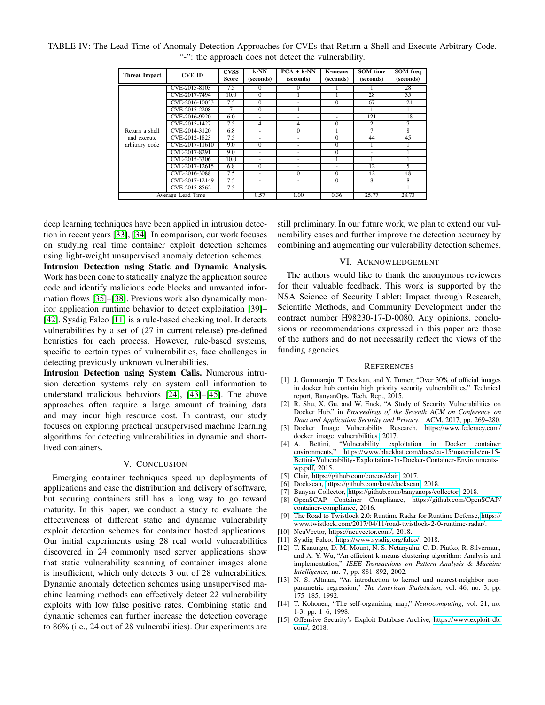| <b>Threat Impact</b>                            | <b>CVE ID</b>  | <b>CVSS</b><br>Score | k-NN<br>(seconds)        | $PCA + k-NN$<br>(seconds) | K-means<br>(seconds) | SOM time<br>(seconds) | <b>SOM</b> freq<br>(seconds) |
|-------------------------------------------------|----------------|----------------------|--------------------------|---------------------------|----------------------|-----------------------|------------------------------|
|                                                 | CVE-2015-8103  | 7.5                  | $\Omega$                 | $\Omega$                  |                      |                       | 28                           |
|                                                 | CVE-2017-7494  | 10.0                 | $\Omega$                 |                           |                      | 28                    | 35                           |
|                                                 | CVE-2016-10033 | 7.5                  | $\Omega$                 |                           | $\Omega$             | 67                    | 124                          |
|                                                 | CVE-2015-2208  | 7                    | $\Omega$                 |                           | ۰                    |                       |                              |
|                                                 | CVE-2016-9920  | 6.0                  | $\overline{\phantom{a}}$ | ۰                         | ٠                    | 121                   | 118                          |
| Return a shell<br>and execute<br>arbitrary code | CVE-2015-1427  | 7.5                  | $\overline{4}$           | $\overline{4}$            | $\Omega$             | $\overline{c}$        |                              |
|                                                 | CVE-2014-3120  | 6.8                  | $\overline{\phantom{a}}$ | $\Omega$                  |                      |                       | 8                            |
|                                                 | CVE-2012-1823  | 7.5                  | ٠                        | ۰                         | $\Omega$             | 44                    | 45                           |
|                                                 | CVE-2017-11610 | 9.0                  | $\Omega$                 | ٠                         | $\Omega$             |                       |                              |
|                                                 | CVE-2017-8291  | 9.0                  | ٠                        | ۰                         | $\Omega$             | ۰                     |                              |
|                                                 | CVE-2015-3306  | 10.0                 | $\overline{\phantom{a}}$ | ۰                         |                      |                       |                              |
|                                                 | CVE-2017-12615 | 6.8                  | $\Omega$                 |                           |                      | 12                    | 5                            |
|                                                 | CVE-2016-3088  | 7.5                  | $\overline{\phantom{a}}$ | $\Omega$                  | $\overline{0}$       | 42                    | 48                           |
|                                                 | CVE-2017-12149 | 7.5                  | ٠                        |                           | $\Omega$             | 8                     | 8                            |
|                                                 | CVE-2015-8562  | 7.5                  | $\overline{\phantom{a}}$ |                           | ٠                    | ٠                     |                              |
| Average Lead Time                               |                |                      | 0.57                     | 1.00                      | 0.36                 | 25.77                 | 28.73                        |

<span id="page-5-13"></span>TABLE IV: The Lead Time of Anomaly Detection Approaches for CVEs that Return a Shell and Execute Arbitrary Code. "-": the approach does not detect the vulnerability.

deep learning techniques have been applied in intrusion detection in recent years [\[33\]](#page-6-12), [\[34\]](#page-6-13). In comparison, our work focuses on studying real time container exploit detection schemes using light-weight unsupervised anomaly detection schemes. **Intrusion Detection using Static and Dynamic Analysis.** Work has been done to statically analyze the application source code and identify malicious code blocks and unwanted information flows [\[35\]](#page-6-14)–[\[38\]](#page-6-15). Previous work also dynamically monitor application runtime behavior to detect exploitation [\[39\]](#page-6-16)– [\[42\]](#page-6-17). Sysdig Falco [\[11\]](#page-5-7) is a rule-based checking tool. It detects vulnerabilities by a set of (27 in current release) pre-defined heuristics for each process. However, rule-based systems, specific to certain types of vulnerabilities, face challenges in detecting previously unknown vulnerabilities.

**Intrusion Detection using System Calls.** Numerous intrusion detection systems rely on system call information to understand malicious behaviors [\[24\]](#page-6-8), [\[43\]](#page-6-18)–[\[45\]](#page-6-19). The above approaches often require a large amount of training data and may incur high resource cost. In contrast, our study focuses on exploring practical unsupervised machine learning algorithms for detecting vulnerabilities in dynamic and shortlived containers.

## V. CONCLUSION

<span id="page-5-11"></span>Emerging container techniques speed up deployments of applications and ease the distribution and delivery of software, but securing containers still has a long way to go toward maturity. In this paper, we conduct a study to evaluate the effectiveness of different static and dynamic vulnerability exploit detection schemes for container hosted applications. Our initial experiments using 28 real world vulnerabilities discovered in 24 commonly used server applications show that static vulnerability scanning of container images alone is insufficient, which only detects 3 out of 28 vulnerabilities. Dynamic anomaly detection schemes using unsupervised machine learning methods can effectively detect 22 vulnerability exploits with low false positive rates. Combining static and dynamic schemes can further increase the detection coverage to 86% (i.e., 24 out of 28 vulnerabilities). Our experiments are still preliminary. In our future work, we plan to extend our vulnerability cases and further improve the detection accuracy by combining and augmenting our vulerability detection schemes.

#### VI. ACKNOWLEDGEMENT

The authors would like to thank the anonymous reviewers for their valuable feedback. This work is supported by the NSA Science of Security Lablet: Impact through Research, Scientific Methods, and Community Development under the contract number H98230-17-D-0080. Any opinions, conclusions or recommendations expressed in this paper are those of the authors and do not necessarily reflect the views of the funding agencies.

#### **REFERENCES**

- <span id="page-5-0"></span>[1] J. Gummaraju, T. Desikan, and Y. Turner, "Over 30% of official images in docker hub contain high priority security vulnerabilities," Technical report, BanyanOps, Tech. Rep., 2015.
- <span id="page-5-2"></span>[2] R. Shu, X. Gu, and W. Enck, "A Study of Security Vulnerabilities on Docker Hub," in *Proceedings of the Seventh ACM on Conference on Data and Application Security and Privacy*. ACM, 2017, pp. 269–280.
- <span id="page-5-1"></span>[3] Docker Image Vulnerability Research, [https://www.federacy.com/](https://www.federacy.com/docker_image_vulnerabilities) docker image [vulnerabilities,](https://www.federacy.com/docker_image_vulnerabilities) 2017.
- <span id="page-5-3"></span>[4] A. Bettini, "Vulnerability exploitation in Docker container environments," [https://www.blackhat.com/docs/eu-15/materials/eu-15-](https://www.blackhat.com/docs/eu-15/materials/eu-15-Bettini-Vulnerability-Exploitation-In-Docker-Container-Environments-wp.pdf) [Bettini-Vulnerability- Exploitation- In-Docker-Container-Environments](https://www.blackhat.com/docs/eu-15/materials/eu-15-Bettini-Vulnerability-Exploitation-In-Docker-Container-Environments-wp.pdf)[wp.pdf,](https://www.blackhat.com/docs/eu-15/materials/eu-15-Bettini-Vulnerability-Exploitation-In-Docker-Container-Environments-wp.pdf) 2015.
- <span id="page-5-4"></span>[5] Clair, [https://github.com/coreos/clair,](https://github.com/coreos/clair) 2017.
- [6] Dockscan, [https://github.com/kost/dockscan,](https://github.com/kost/dockscan) 2018.
- <span id="page-5-5"></span>[7] Banyan Collector, [https://github.com/banyanops/collector,](https://github.com/banyanops/collector) 2018.
- [8] OpenSCAP Container Compliance, [https://github.com/OpenSCAP/](https://github.com/OpenSCAP/container-compliance) [container-compliance,](https://github.com/OpenSCAP/container-compliance) 2016.
- <span id="page-5-6"></span>[9] The Road to Twistlock 2.0: Runtime Radar for Runtime Defense, [https://](https://www.twistlock.com/2017/04/11/road-twistlock-2-0-runtime-radar/) [www.twistlock.com/2017/04/11/road-twistlock- 2-0-runtime- radar/.](https://www.twistlock.com/2017/04/11/road-twistlock-2-0-runtime-radar/)
- <span id="page-5-7"></span>[10] NeuVector, [https://neuvector.com/,](https://neuvector.com/) 2018.
- <span id="page-5-8"></span>[11] Sysdig Falco, [https://www.sysdig.org/falco/,](https://www.sysdig.org/falco/) 2018.
- [12] T. Kanungo, D. M. Mount, N. S. Netanyahu, C. D. Piatko, R. Silverman, and A. Y. Wu, "An efficient k-means clustering algorithm: Analysis and implementation," *IEEE Transactions on Pattern Analysis & Machine Intelligence*, no. 7, pp. 881–892, 2002.
- <span id="page-5-9"></span>[13] N. S. Altman, "An introduction to kernel and nearest-neighbor nonparametric regression," *The American Statistician*, vol. 46, no. 3, pp. 175–185, 1992.
- <span id="page-5-10"></span>[14] T. Kohonen, "The self-organizing map," *Neurocomputing*, vol. 21, no. 1-3, pp. 1–6, 1998.
- <span id="page-5-12"></span>[15] Offensive Security's Exploit Database Archive, [https://www.exploit- db.](https://www.exploit-db.com/) [com/,](https://www.exploit-db.com/) 2018.